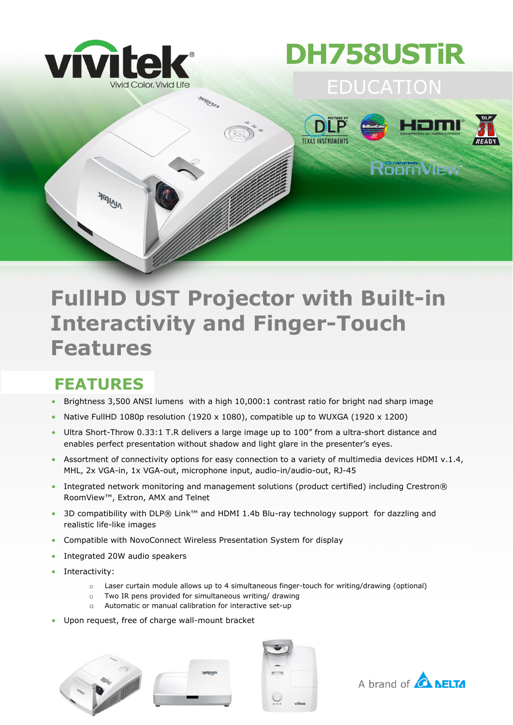

## **DH758USTiR**



### **FullHD UST Projector with Built-in Interactivity and Finger-Touch Features**

#### **FEATURES**

- **Brightness 3,500 ANSI lumens** with a high 10,000:1 contrast ratio for bright nad sharp image
- Native FullHD 1080p resolution (1920 x 1080), compatible up to WUXGA (1920 x 1200)
- Ultra Short-Throw 0.33:1 T.R delivers a large image up to 100" from a ultra-short distance and enables perfect presentation without shadow and light glare in the presenter's eyes.
- Assortment of connectivity options for easy connection to a variety of multimedia devices HDMI v.1.4, MHL, 2x VGA-in, 1x VGA-out, microphone input, audio-in/audio-out, RJ-45
- Integrated network monitoring and management solutions (product certified) including Crestron® RoomView™, Extron, AMX and Telnet
- 3D compatibility with DLP® Link™ and HDMI 1.4b Blu-ray technology support for dazzling and realistic life-like images
- Compatible with NovoConnect Wireless Presentation System for display
- Integrated 20W audio speakers
- Interactivity:
	- $\circ$  Laser curtain module allows up to 4 simultaneous finger-touch for writing/drawing (optional)
	- o Two IR pens provided for simultaneous writing/ drawing
	- o Automatic or manual calibration for interactive set-up
- Upon request, free of charge wall-mount bracket